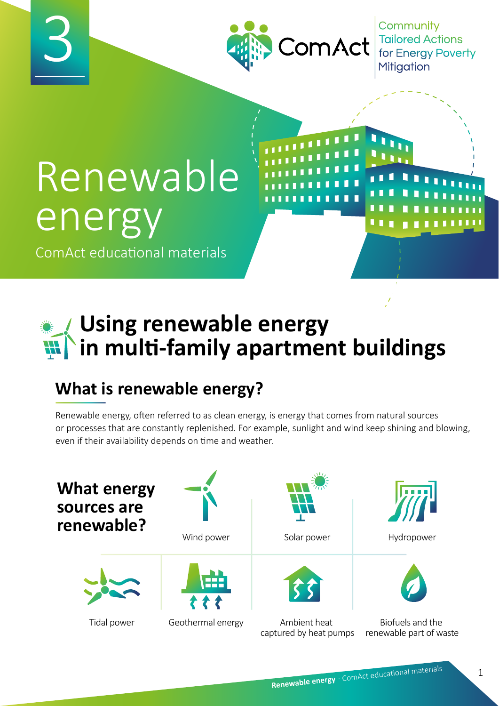

Community Tailored Actions<br>for Energy Poverty

# Renewable energy

3

ComAct educational materials

# **Using renewable energy in multi-family apartment buildings**

# **What is renewable energy?**

Renewable energy, often referred to as clean energy, is energy that comes from natural sources or processes that are constantly replenished. For example, sunlight and wind keep shining and blowing, even if their availability depends on time and weather.

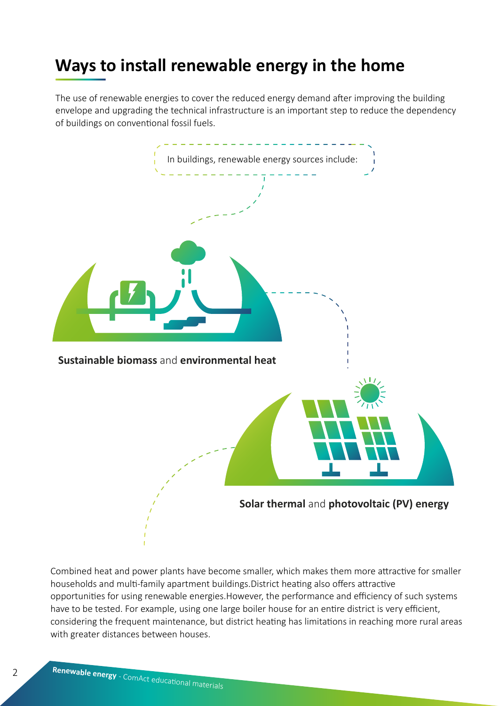#### **Ways to install renewable energy in the home**

The use of renewable energies to cover the reduced energy demand after improving the building envelope and upgrading the technical infrastructure is an important step to reduce the dependency of buildings on conventional fossil fuels.



Combined heat and power plants have become smaller, which makes them more attractive for smaller households and multi-family apartment buildings.District heating also offers attractive opportunities for using renewable energies.However, the performance and efficiency of such systems have to be tested. For example, using one large boiler house for an entire district is very efficient, considering the frequent maintenance, but district heating has limitations in reaching more rural areas with greater distances between houses.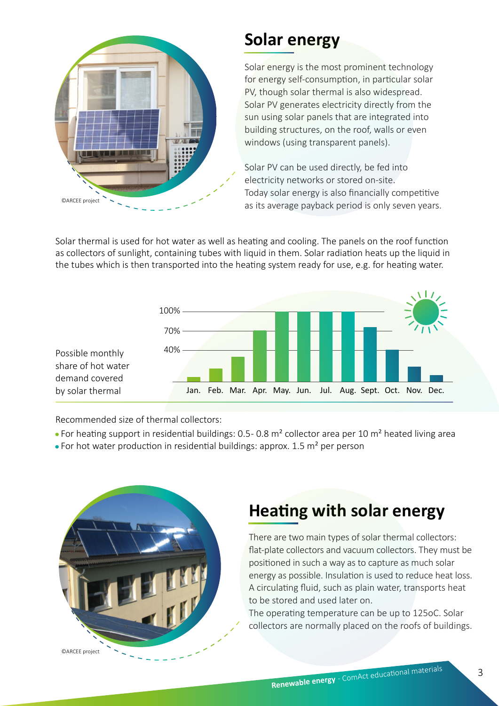

#### **Solar energy**

Solar energy is the most prominent technology for energy self-consumption, in particular solar PV, though solar thermal is also widespread. Solar PV generates electricity directly from the sun using solar panels that are integrated into building structures, on the roof, walls or even windows (using transparent panels).

Solar PV can be used directly, be fed into electricity networks or stored on-site. Today solar energy is also financially competitive  $Q = 2R$  as its average payback period is only seven years.

Solar thermal is used for hot water as well as heating and cooling. The panels on the roof function as collectors of sunlight, containing tubes with liquid in them. Solar radiation heats up the liquid in the tubes which is then transported into the heating system ready for use, e.g. for heating water.



Recommended size of thermal collectors:

- For heating support in residential buildings: 0.5 0.8 m<sup>2</sup> collector area per 10 m<sup>2</sup> heated living area
- For hot water production in residential buildings: approx. 1.5 m<sup>2</sup> per person



# **Heating with solar energy**

There are two main types of solar thermal collectors: flat-plate collectors and vacuum collectors. They must be positioned in such a way as to capture as much solar energy as possible. Insulation is used to reduce heat loss. A circulating fluid, such as plain water, transports heat to be stored and used later on.

The operating temperature can be up to 125oC. Solar collectors are normally placed on the roofs of buildings.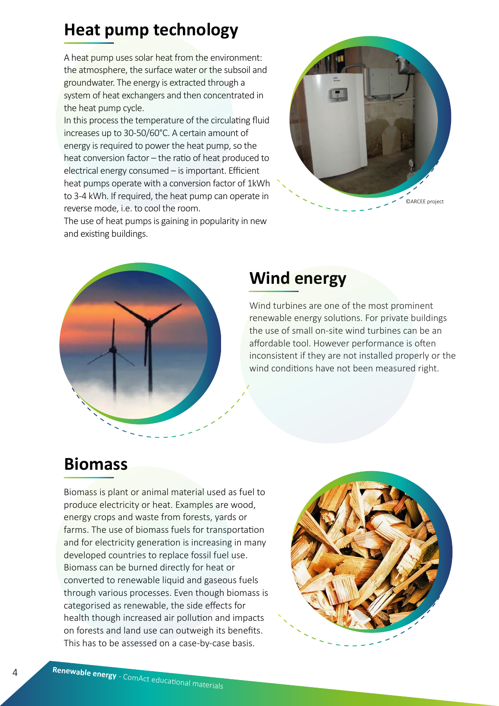# **Heat pump technology**

A heat pump uses solar heat from the environment: the atmosphere, the surface water or the subsoil and groundwater. The energy is extracted through a system of heat exchangers and then concentrated in the heat pump cycle.

In this process the temperature of the circulating fluid increases up to 30-50/60°C. A certain amount of energy is required to power the heat pump, so the heat conversion factor – the ratio of heat produced to electrical energy consumed – is important. Efficient heat pumps operate with a conversion factor of 1kWh to 3-4 kWh. If required, the heat pump can operate in reverse mode, i.e. to cool the room.

The use of heat pumps is gaining in popularity in new and existing buildings.





# **Wind energy**

Wind turbines are one of the most prominent renewable energy solutions. For private buildings the use of small on-site wind turbines can be an affordable tool. However performance is often inconsistent if they are not installed properly or the wind conditions have not been measured right.

#### **Biomass**

Biomass is plant or animal material used as fuel to produce electricity or heat. Examples are wood, energy crops and waste from forests, yards or farms. The use of biomass fuels for transportation and for electricity generation is increasing in many developed countries to replace fossil fuel use. Biomass can be burned directly for heat or converted to renewable liquid and gaseous fuels through various processes. Even though biomass is categorised as renewable, the side effects for health though increased air pollution and impacts on forests and land use can outweigh its benefits. This has to be assessed on a case-by-case basis.

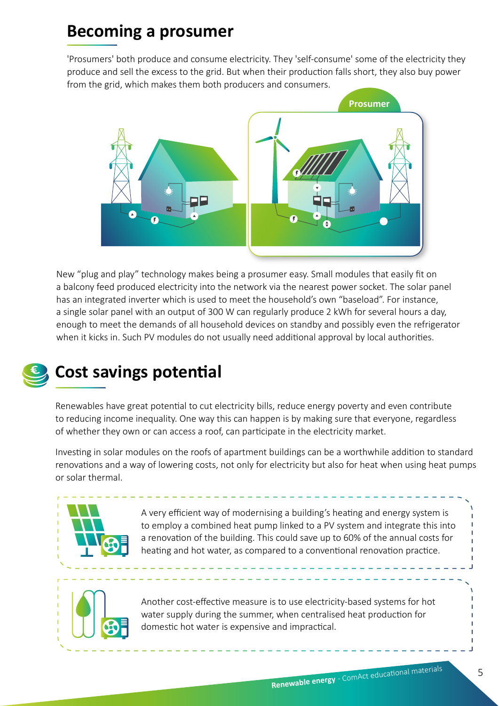#### **Becoming a prosumer**

'Prosumers' both produce and consume electricity. They 'self-consume' some of the electricity they produce and sell the excess to the grid. But when their production falls short, they also buy power from the grid, which makes them both producers and consumers.



New "plug and play" technology makes being a prosumer easy. Small modules that easily fit on a balcony feed produced electricity into the network via the nearest power socket. The solar panel has an integrated inverter which is used to meet the household's own "baseload". For instance, a single solar panel with an output of 300 W can regularly produce 2 kWh for several hours a day, enough to meet the demands of all household devices on standby and possibly even the refrigerator when it kicks in. Such PV modules do not usually need additional approval by local authorities.



# **Cost savings potential**

Renewables have great potential to cut electricity bills, reduce energy poverty and even contribute to reducing income inequality. One way this can happen is by making sure that everyone, regardless of whether they own or can access a roof, can participate in the electricity market.

Investing in solar modules on the roofs of apartment buildings can be a worthwhile addition to standard renovations and a way of lowering costs, not only for electricity but also for heat when using heat pumps or solar thermal.



A very efficient way of modernising a building's heating and energy system is to employ a combined heat pump linked to a PV system and integrate this into a renovation of the building. This could save up to 60% of the annual costs for heating and hot water, as compared to a conventional renovation practice.



Another cost-effective measure is to use electricity-based systems for hot water supply during the summer, when centralised heat production for domestic hot water is expensive and impractical.